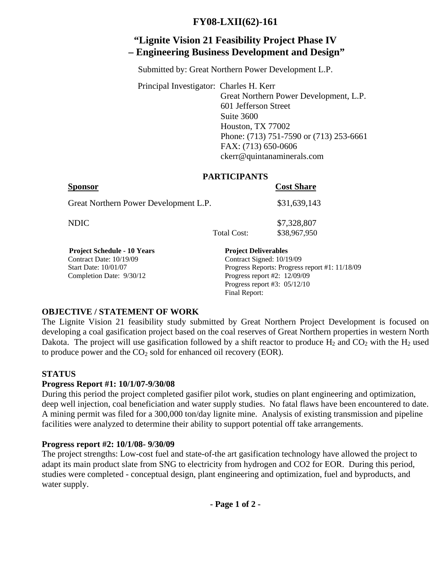## **FY08-LXII(62)-161**

# **"Lignite Vision 21 Feasibility Project Phase IV – Engineering Business Development and Design"**

Submitted by: Great Northern Power Development L.P.

 Principal Investigator: Charles H. Kerr Great Northern Power Development, L.P. 601 Jefferson Street Suite 3600 Houston, TX 77002 Phone: (713) 751-7590 or (713) 253-6661 FAX: (713) 650-0606 ckerr@quintanaminerals.com

#### **PARTICIPANTS**

|                                       |             | <b>Cost Share</b> |
|---------------------------------------|-------------|-------------------|
| Great Northern Power Development L.P. |             | \$31,639,143      |
| NDIC.                                 |             | \$7,328,807       |
|                                       | Total Cost: | \$38,967,950      |

Contract Date: 10/19/09 Contract Signed: 10/19/09 Start Date: 10/01/07 Progress Reports: Progress report #1: 11/18/09 Completion Date: 9/30/12 Progress report #2: 12/09/09 Progress report #3: 05/12/10 Final Report:

### **OBJECTIVE / STATEMENT OF WORK**

The Lignite Vision 21 feasibility study submitted by Great Northern Project Development is focused on developing a coal gasification project based on the coal reserves of Great Northern properties in western North Dakota. The project will use gasification followed by a shift reactor to produce  $H_2$  and  $CO_2$  with the  $H_2$  used to produce power and the  $CO<sub>2</sub>$  sold for enhanced oil recovery (EOR).

### **STATUS**

### **Progress Report #1: 10/1/07-9/30/08**

During this period the project completed gasifier pilot work, studies on plant engineering and optimization, deep well injection, coal beneficiation and water supply studies. No fatal flaws have been encountered to date. A mining permit was filed for a 300,000 ton/day lignite mine. Analysis of existing transmission and pipeline facilities were analyzed to determine their ability to support potential off take arrangements.

### **Progress report #2: 10/1/08- 9/30/09**

The project strengths: Low-cost fuel and state-of-the art gasification technology have allowed the project to adapt its main product slate from SNG to electricity from hydrogen and CO2 for EOR. During this period, studies were completed - conceptual design, plant engineering and optimization, fuel and byproducts, and water supply.

**- Page 1 of 2 -**